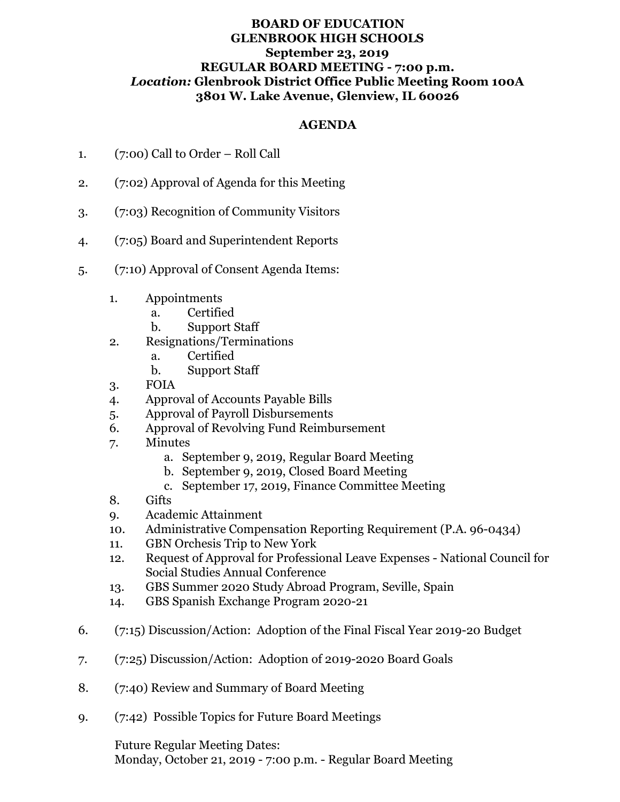## **BOARD OF EDUCATION GLENBROOK HIGH SCHOOLS September 23, 2019 REGULAR BOARD MEETING - 7:00 p.m.** *Location:* **Glenbrook District Office Public Meeting Room 100A 3801 W. Lake Avenue, Glenview, IL 60026**

## **AGENDA**

- 1. (7:00) Call to Order Roll Call
- 2. (7:02) Approval of Agenda for this Meeting
- 3. (7:03) Recognition of Community Visitors
- 4. (7:05) Board and Superintendent Reports
- 5. (7:10) Approval of Consent Agenda Items:
	- 1. Appointments
		- a. Certified
		- b. Support Staff
	- 2. Resignations/Terminations
		- a. Certified
		- b. Support Staff
	- 3. FOIA
	- 4. Approval of Accounts Payable Bills
	- 5. Approval of Payroll Disbursements
	- 6. Approval of Revolving Fund Reimbursement
	- 7. Minutes
		- a. September 9, 2019, Regular Board Meeting
		- b. September 9, 2019, Closed Board Meeting
		- c. September 17, 2019, Finance Committee Meeting
	- 8. Gifts
	- 9. Academic Attainment
	- 10. Administrative Compensation Reporting Requirement (P.A. 96-0434)
	- 11. GBN Orchesis Trip to New York
	- 12. Request of Approval for Professional Leave Expenses National Council for Social Studies Annual Conference
	- 13. GBS Summer 2020 Study Abroad Program, Seville, Spain
	- 14. GBS Spanish Exchange Program 2020-21
- 6. (7:15) Discussion/Action: Adoption of the Final Fiscal Year 2019-20 Budget
- 7. (7:25) Discussion/Action: Adoption of 2019-2020 Board Goals
- 8. (7:40) Review and Summary of Board Meeting
- 9. (7:42) Possible Topics for Future Board Meetings

Future Regular Meeting Dates:

Monday, October 21, 2019 - 7:00 p.m. - Regular Board Meeting